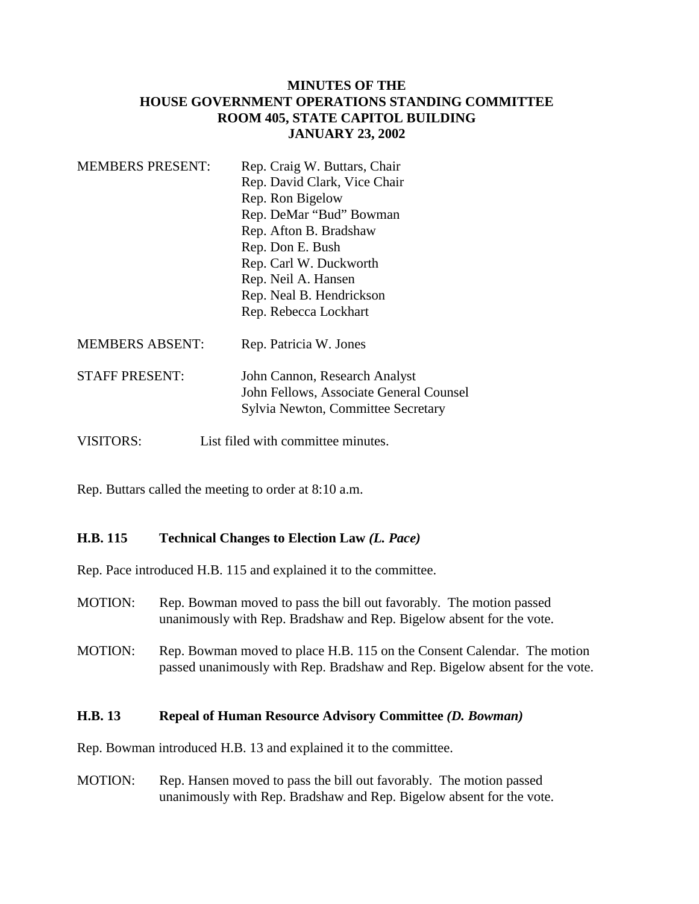# **MINUTES OF THE HOUSE GOVERNMENT OPERATIONS STANDING COMMITTEE ROOM 405, STATE CAPITOL BUILDING JANUARY 23, 2002**

| <b>MEMBERS PRESENT:</b> | Rep. Craig W. Buttars, Chair            |
|-------------------------|-----------------------------------------|
|                         | Rep. David Clark, Vice Chair            |
|                         | Rep. Ron Bigelow                        |
|                         | Rep. DeMar "Bud" Bowman                 |
|                         | Rep. Afton B. Bradshaw                  |
|                         | Rep. Don E. Bush                        |
|                         | Rep. Carl W. Duckworth                  |
|                         | Rep. Neil A. Hansen                     |
|                         | Rep. Neal B. Hendrickson                |
|                         | Rep. Rebecca Lockhart                   |
| <b>MEMBERS ABSENT:</b>  | Rep. Patricia W. Jones                  |
| <b>STAFF PRESENT:</b>   | John Cannon, Research Analyst           |
|                         | John Fellows, Associate General Counsel |
|                         | Sylvia Newton, Committee Secretary      |
| <b>VISITORS:</b>        | List filed with committee minutes.      |

Rep. Buttars called the meeting to order at 8:10 a.m.

# **H.B. 115 Technical Changes to Election Law** *(L. Pace)*

Rep. Pace introduced H.B. 115 and explained it to the committee.

- MOTION: Rep. Bowman moved to pass the bill out favorably. The motion passed unanimously with Rep. Bradshaw and Rep. Bigelow absent for the vote.
- MOTION: Rep. Bowman moved to place H.B. 115 on the Consent Calendar. The motion passed unanimously with Rep. Bradshaw and Rep. Bigelow absent for the vote.

## **H.B. 13 Repeal of Human Resource Advisory Committee** *(D. Bowman)*

Rep. Bowman introduced H.B. 13 and explained it to the committee.

MOTION: Rep. Hansen moved to pass the bill out favorably. The motion passed unanimously with Rep. Bradshaw and Rep. Bigelow absent for the vote.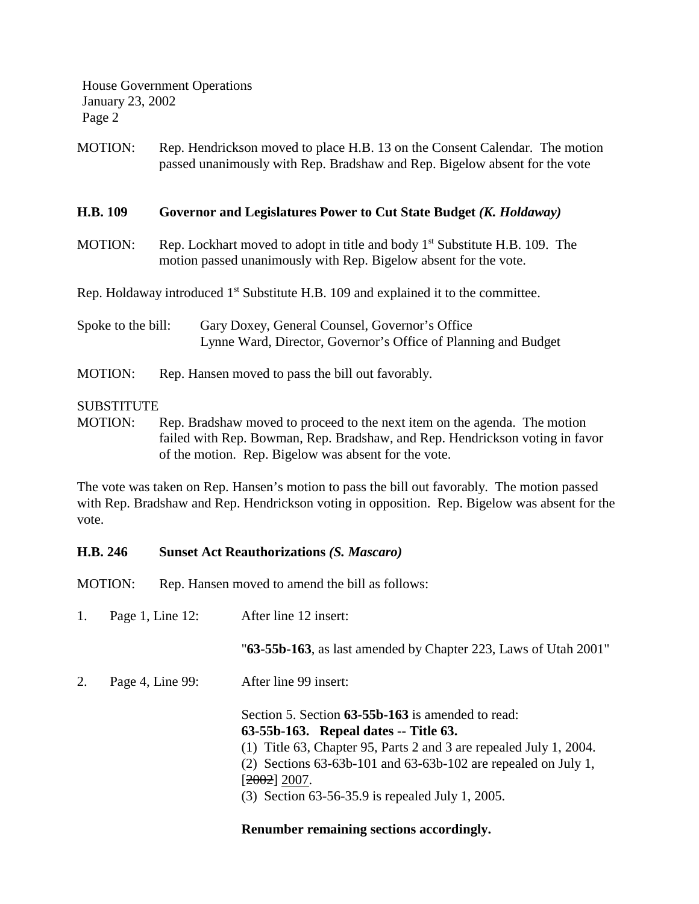House Government Operations January 23, 2002 Page 2

MOTION: Rep. Hendrickson moved to place H.B. 13 on the Consent Calendar. The motion passed unanimously with Rep. Bradshaw and Rep. Bigelow absent for the vote

## **H.B. 109 Governor and Legislatures Power to Cut State Budget** *(K. Holdaway)*

MOTION: Rep. Lockhart moved to adopt in title and body  $1<sup>st</sup>$  Substitute H.B. 109. The motion passed unanimously with Rep. Bigelow absent for the vote.

Rep. Holdaway introduced  $1<sup>st</sup>$  Substitute H.B. 109 and explained it to the committee.

- Spoke to the bill: Gary Doxey, General Counsel, Governor's Office Lynne Ward, Director, Governor's Office of Planning and Budget
- MOTION: Rep. Hansen moved to pass the bill out favorably.

## SUBSTITUTE

MOTION: Rep. Bradshaw moved to proceed to the next item on the agenda. The motion failed with Rep. Bowman, Rep. Bradshaw, and Rep. Hendrickson voting in favor of the motion. Rep. Bigelow was absent for the vote.

The vote was taken on Rep. Hansen's motion to pass the bill out favorably. The motion passed with Rep. Bradshaw and Rep. Hendrickson voting in opposition. Rep. Bigelow was absent for the vote.

## **H.B. 246 Sunset Act Reauthorizations** *(S. Mascaro)*

MOTION: Rep. Hansen moved to amend the bill as follows:

1. Page 1, Line 12: After line 12 insert:

"**63-55b-163**, as last amended by Chapter 223, Laws of Utah 2001"

2. Page 4, Line 99: After line 99 insert:

Section 5. Section **63-55b-163** is amended to read: **63-55b-163. Repeal dates -- Title 63.** (1) Title 63, Chapter 95, Parts 2 and 3 are repealed July 1, 2004. (2) Sections 63-63b-101 and 63-63b-102 are repealed on July 1,  $[2002] 2007.$ (3) Section 63-56-35.9 is repealed July 1, 2005.

# **Renumber remaining sections accordingly.**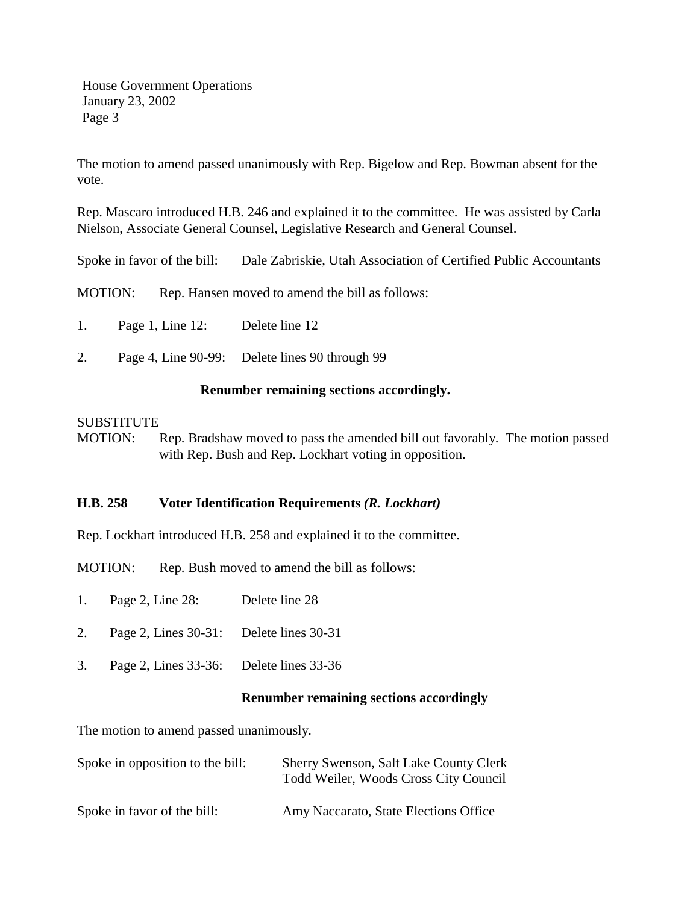House Government Operations January 23, 2002 Page 3

The motion to amend passed unanimously with Rep. Bigelow and Rep. Bowman absent for the vote.

Rep. Mascaro introduced H.B. 246 and explained it to the committee. He was assisted by Carla Nielson, Associate General Counsel, Legislative Research and General Counsel.

Spoke in favor of the bill: Dale Zabriskie, Utah Association of Certified Public Accountants

MOTION: Rep. Hansen moved to amend the bill as follows:

- 1. Page 1, Line 12: Delete line 12
- 2. Page 4, Line 90-99: Delete lines 90 through 99

## **Renumber remaining sections accordingly.**

## **SUBSTITUTE**

MOTION: Rep. Bradshaw moved to pass the amended bill out favorably. The motion passed with Rep. Bush and Rep. Lockhart voting in opposition.

## **H.B. 258 Voter Identification Requirements** *(R. Lockhart)*

Rep. Lockhart introduced H.B. 258 and explained it to the committee.

MOTION: Rep. Bush moved to amend the bill as follows:

- 1. Page 2, Line 28: Delete line 28
- 2. Page 2, Lines 30-31: Delete lines 30-31
- 3. Page 2, Lines 33-36: Delete lines 33-36

## **Renumber remaining sections accordingly**

The motion to amend passed unanimously.

| Spoke in opposition to the bill: | <b>Sherry Swenson, Salt Lake County Clerk</b><br>Todd Weiler, Woods Cross City Council |
|----------------------------------|----------------------------------------------------------------------------------------|
| Spoke in favor of the bill:      | Amy Naccarato, State Elections Office                                                  |